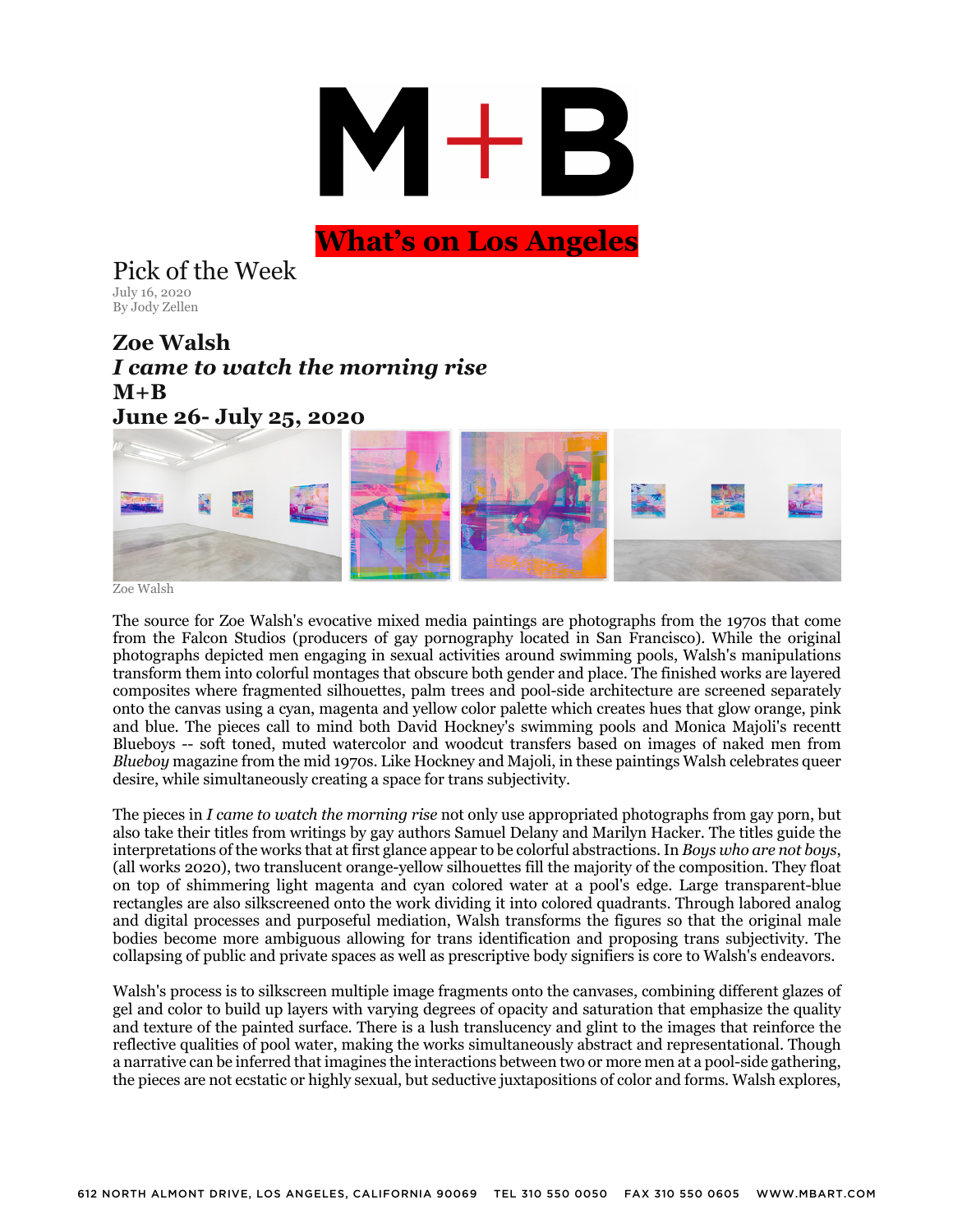

## **What's on Los Angeles**

Pick of the Week July 16, 2020 By Jody Zellen

**Zoe Walsh** *I came to watch the morning rise* **M+B June 26- July 25, 2020**



Zoe Walsh

The source for Zoe Walsh's evocative mixed media paintings are photographs from the 1970s that come from the Falcon Studios (producers of gay pornography located in San Francisco). While the original photographs depicted men engaging in sexual activities around swimming pools, Walsh's manipulations transform them into colorful montages that obscure both gender and place. The finished works are layered composites where fragmented silhouettes, palm trees and pool-side architecture are screened separately onto the canvas using a cyan, magenta and yellow color palette which creates hues that glow orange, pink and blue. The pieces call to mind both David Hockney's swimming pools and Monica Majoli's recentt Blueboys -- soft toned, muted watercolor and woodcut transfers based on images of naked men from *Blueboy* magazine from the mid 1970s. Like Hockney and Majoli, in these paintings Walsh celebrates queer desire, while simultaneously creating a space for trans subjectivity.

The pieces in *I came to watch the morning rise* not only use appropriated photographs from gay porn, but also take their titles from writings by gay authors Samuel Delany and Marilyn Hacker. The titles guide the interpretations of the works that at first glance appear to be colorful abstractions. In *Boys who are not boys*, (all works 2020), two translucent orange-yellow silhouettes fill the majority of the composition. They float on top of shimmering light magenta and cyan colored water at a pool's edge. Large transparent-blue rectangles are also silkscreened onto the work dividing it into colored quadrants. Through labored analog and digital processes and purposeful mediation, Walsh transforms the figures so that the original male bodies become more ambiguous allowing for trans identification and proposing trans subjectivity. The collapsing of public and private spaces as well as prescriptive body signifiers is core to Walsh's endeavors.

Walsh's process is to silkscreen multiple image fragments onto the canvases, combining different glazes of gel and color to build up layers with varying degrees of opacity and saturation that emphasize the quality and texture of the painted surface. There is a lush translucency and glint to the images that reinforce the reflective qualities of pool water, making the works simultaneously abstract and representational. Though a narrative can be inferred that imagines the interactions between two or more men at a pool-side gathering, the pieces are not ecstatic or highly sexual, but seductive juxtapositions of color and forms. Walsh explores,